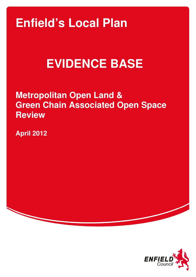# **Enfield's Local Plan**

# **EVIDENCE BASE**

**Metropolitan Open Land & Green Chain Associated Open Space Review** 

**April 2012** 

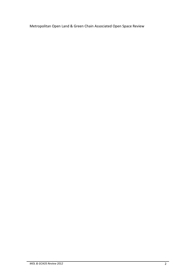Metropolitan Open Land & Green Chain Associated Open Space Review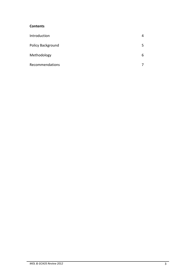#### **Contents**

| Introduction      |   |
|-------------------|---|
| Policy Background | ר |
| Methodology       | 6 |
| Recommendations   |   |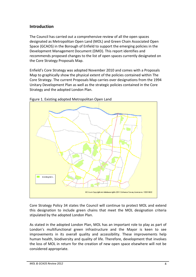#### Introduction

The Council has carried out a comprehensive review of all the open spaces designated as Metropolitan Open Land (MOL) and Green Chain Associated Open Space (GCAOS) in the Borough of Enfield to support the emerging policies in the Development Management Document (DMD). This report identifies and recommends proposed changes to the list of open spaces currently designated on the Core Strategy Proposals Map.

Enfield's Core Strategy was adopted November 2010 and comes with a Proposals Map to graphically show the physical extent of the policies contained within The Core Strategy. The current Proposals Map carries over designations from the 1994 Unitary Development Plan as well as the strategic policies contained in the Core Strategy and the adopted London Plan.



Figure 1. Existing adopted Metropolitan Open Land

Core Strategy Policy 34 states the Council will continue to protect MOL and extend this designation to include green chains that meet the MOL designation criteria stipulated by the adopted London Plan.

As stated in the adopted London Plan, MOL has an important role to play as part of London's multifunctional green infrastructure and the Mayor is keen to see improvements in its overall quality and accessibility. These improvements help human health, biodiversity and quality of life. Therefore, development that involves the loss of MOL in return for the creation of new open space elsewhere will not be considered appropriate.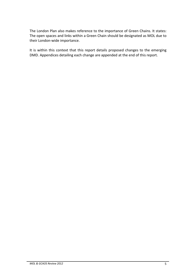The London Plan also makes reference to the importance of Green Chains. It states: The open spaces and links within a Green Chain should be designated as MOL due to their London-wide importance.

It is within this context that this report details proposed changes to the emerging DMD. Appendices detailing each change are appended at the end of this report.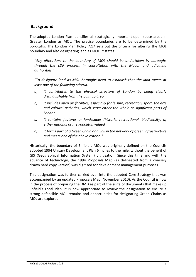### **Background**

The adopted London Plan identifies all strategically important open space areas in Greater London as MOL. The precise boundaries are to be determined by the boroughs. The London Plan Policy 7.17 sets out the criteria for altering the MOL boundary and also designating land as MOL. It states:

"Any alterations to the boundary of MOL should be undertaken by boroughs through the LDF process, in consultation with the Mayor and adjoining authorities."

"To designate land as MOL boroughs need to establish that the land meets at least one of the following criteria:

- a) it contributes to the physical structure of London by being clearly distinguishable from the built up area
- b) it includes open air facilities, especially for leisure, recreation, sport, the arts and cultural activities, which serve either the whole or significant parts of London
- c) it contains features or landscapes (historic, recreational, biodiversity) of either national or metropolitan valued
- d) it forms part of a Green Chain or a link in the network of green infrastructure and meets one of the above criteria."

Historically, the boundary of Enfield's MOL was originally defined on the Councils adopted 1994 Unitary Development Plan 6 inches to the mile, without the benefit of GIS (Geographical Information System) digitisation. Since this time and with the advance of technology, the 1994 Proposals Map (as delineated from a coarsely drawn hard copy version) was digitised for development management purposes.

This designation was further carried over into the adopted Core Strategy that was accompanied by an updated Proposals Map (November 2010). As the Council is now in the process of preparing the DMD as part of the suite of documents that make up Enfield's Local Plan, it is now appropriate to review the designation to ensure a strong defensible MOL remains and opportunities for designating Green Chains as MOL are explored.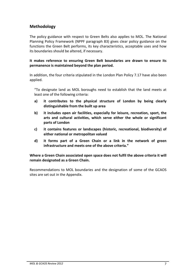### Methodology

The policy guidance with respect to Green Belts also applies to MOL. The National Planning Policy Framework (NPPF paragraph 83) gives clear policy guidance on the functions the Green Belt performs, its key characteristics, acceptable uses and how its boundaries should be altered, if necessary.

It makes reference to ensuring Green Belt boundaries are drawn to ensure its permanence is maintained beyond the plan period.

In addition, the four criteria stipulated in the London Plan Policy 7.17 have also been applied.

"To designate land as MOL boroughs need to establish that the land meets at least one of the following criteria:

- a) it contributes to the physical structure of London by being clearly distinguishable from the built up area
- b) it includes open air facilities, especially for leisure, recreation, sport, the arts and cultural activities, which serve either the whole or significant parts of London
- c) it contains features or landscapes (historic, recreational, biodiversity) of either national or metropolitan valued
- d) it forms part of a Green Chain or a link in the network of green infrastructure and meets one of the above criteria."

Where a Green Chain associated open space does not fulfil the above criteria it will remain designated as a Green Chain.

Recommendations to MOL boundaries and the designation of some of the GCAOS sites are set out in the Appendix.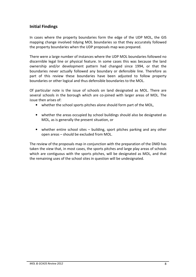### Initial Findings

In cases where the property boundaries form the edge of the UDP MOL, the GIS mapping change involved tidying MOL boundaries so that they accurately followed the property boundaries when the UDP proposals map was prepared.

There were a large number of instances where the UDP MOL boundaries followed no discernible legal line or physical feature. In some cases this was because the land ownership and/or development pattern had changed since 1994, or that the boundaries never actually followed any boundary or defensible line. Therefore as part of this review these boundaries have been adjusted to follow property boundaries or other logical and thus defensible boundaries to the MOL.

Of particular note is the issue of schools on land designated as MOL. There are several schools in the borough which are co-joined with larger areas of MOL. The issue then arises of:

- whether the school sports pitches alone should form part of the MOL,
- whether the areas occupied by school buildings should also be designated as MOL, as is generally the present situation, or
- whether entire school sites building, sport pitches parking and any other open areas – should be excluded from MOL.

The review of the proposals map in conjunction with the preparation of the DMD has taken the view that, in most cases, the sports pitches and large play areas of schools which are contiguous with the sports pitches, will be designated as MOL, and that the remaining uses of the school sites in question will be undesignated.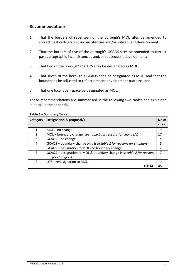#### Recommendations

- 1. That the borders of seventeen of the borough's MOL sites be amended to correct past cartographic inconsistencies and/or subsequent development;
- 2. That the borders of five of the borough's GCAOS sites be amended to correct past cartographic inconsistencies and/or subsequent development;
- 3. That two of the borough's GCAOS sites be designated as MOL;
- 4. That seven of the borough's GCAOS sites be designated as MOL, and that the boundaries be adjusted to reflect present development patterns; and
- 5. That one local open space be designated as MOL.

These recommendations are summarised in the following two tables and explained in detail in the appendix.

| Category       | Designation & proposal/s                                              | No of<br>sites |
|----------------|-----------------------------------------------------------------------|----------------|
| 1              | $MOL - no change$                                                     | 9              |
| $\overline{2}$ | MOL – boundary change (see table 2 for reasons for change/s)          | 17             |
| 3              | GCAOS - no change                                                     | 4              |
| 4              | GCAOS – boundary change only (see table 2 for reasons for change/s)   | -5             |
| 5              | GCAOS - designation to MOL (no boundary change)                       |                |
| 6              | GCAOS - designation to MOL & boundary change (see table 2 for reasons |                |
|                | for change/s)                                                         |                |
| 7              | LOS - redesignation to MOL                                            |                |
|                | TOTAL:                                                                | 45             |

Table 1 – Summary Table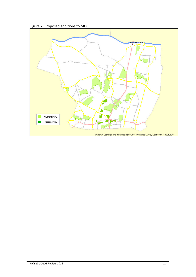

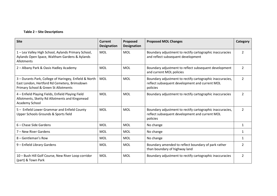#### Table 2 – Site Descriptions

| <b>Site</b>                                                                                                                                    | Current<br><b>Designation</b> | Proposed<br><b>Designation</b> | <b>Proposed MOL Changes</b>                                                                                             | Category       |
|------------------------------------------------------------------------------------------------------------------------------------------------|-------------------------------|--------------------------------|-------------------------------------------------------------------------------------------------------------------------|----------------|
| 1 - Lea Valley High School, Aylands Primary School,<br>Aylands Open Space, Waltham Gardens & Aylands<br>Allotments                             | <b>MOL</b>                    | <b>MOL</b>                     | Boundary adjustment to rectify cartographic inaccuracies<br>and reflect subsequent development                          | $\overline{2}$ |
| 2 - Albany Park & Oasis Hadley Academy                                                                                                         | <b>MOL</b>                    | <b>MOL</b>                     | Boundary adjustment to reflect subsequent development<br>and current MOL policies                                       | $\overline{2}$ |
| 3 - Durants Park, College of Haringey, Enfield & North<br>East London, Hertford Rd Cemetery, Brimsdown<br>Primary School & Green St Allotments | <b>MOL</b>                    | <b>MOL</b>                     | Boundary adjustment to rectify cartographic inaccuracies,<br>reflect subsequent development and current MOL<br>policies | $\overline{2}$ |
| 4 - Enfield Playing Fields, Enfield Playing Field<br>Allotments, Sketty Rd Allotments and Kingsmead<br>Academy School                          | <b>MOL</b>                    | <b>MOL</b>                     | Boundary adjustment to rectify cartographic inaccuracies                                                                | $\mathbf{2}$   |
| 5 - Enfield Lower Grammar and Enfield County<br>Upper Schools Grounds & Sports field                                                           | <b>MOL</b>                    | <b>MOL</b>                     | Boundary adjustment to rectify cartographic inaccuracies,<br>reflect subsequent development and current MOL<br>policies | $\overline{2}$ |
| 6 - Chase Side Gardens                                                                                                                         | <b>MOL</b>                    | <b>MOL</b>                     | No change                                                                                                               | $\mathbf{1}$   |
| 7 - New River Gardens                                                                                                                          | <b>MOL</b>                    | <b>MOL</b>                     | No change                                                                                                               | $\mathbf{1}$   |
| 8 – Gentleman's Row                                                                                                                            | <b>MOL</b>                    | <b>MOL</b>                     | No change                                                                                                               | 1              |
| 9 - Enfield Library Gardens                                                                                                                    | <b>MOL</b>                    | <b>MOL</b>                     | Boundary amended to reflect boundary of park rather<br>than boundary of highway land                                    | $\overline{2}$ |
| 10 - Bush Hill Golf Course, New River Loop corridor<br>(part) & Town Park                                                                      | <b>MOL</b>                    | <b>MOL</b>                     | Boundary adjustment to rectify cartographic inaccuracies                                                                | $\overline{2}$ |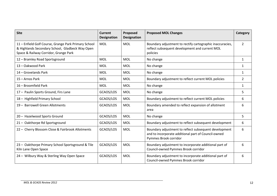| <b>Site</b>                                                                                                                                      | Current<br><b>Designation</b> | Proposed<br><b>Designation</b> | <b>Proposed MOL Changes</b>                                                                                                           | Category       |
|--------------------------------------------------------------------------------------------------------------------------------------------------|-------------------------------|--------------------------------|---------------------------------------------------------------------------------------------------------------------------------------|----------------|
| 11 - Enfield Golf Course, Grange Park Primary School<br>& Highlands Secondary School, Gladbeck Way Open<br>Space & Railway Corridor, Grange Park | <b>MOL</b>                    | <b>MOL</b>                     | Boundary adjustment to rectify cartographic inaccuracies,<br>reflect subsequent development and current MOL<br>policies               | $\overline{2}$ |
| 12 - Bramley Road Sportsground                                                                                                                   | <b>MOL</b>                    | <b>MOL</b>                     | No change                                                                                                                             | 1              |
| 13 - Oakwood Park                                                                                                                                | <b>MOL</b>                    | <b>MOL</b>                     | No change                                                                                                                             | 1              |
| 14 - Grovelands Park                                                                                                                             | MOL                           | <b>MOL</b>                     | No change                                                                                                                             | 1              |
| 15 - Arnos Park                                                                                                                                  | <b>MOL</b>                    | <b>MOL</b>                     | Boundary adjustment to reflect current MOL policies                                                                                   | 2              |
| 16 - Broomfield Park                                                                                                                             | <b>MOL</b>                    | <b>MOL</b>                     | No change                                                                                                                             | 1              |
| 17 - Paulin Sports Ground, Firs Lane                                                                                                             | GCAOS/LOS                     | <b>MOL</b>                     | No change                                                                                                                             | 5              |
| 18 - Highfield Primary School                                                                                                                    | GCAOS/LOS                     | <b>MOL</b>                     | Boundary adjustment to reflect current MOL policies                                                                                   | 6              |
| 19 - Barrowell Green Allotments                                                                                                                  | GCAOS/LOS                     | MOL                            | Boundary amended to reflect expansion of allotment<br>area                                                                            | 6              |
| 20 - Hazelwood Sports Ground                                                                                                                     | GCAOS/LOS                     | <b>MOL</b>                     | No change                                                                                                                             | 5              |
| 21 - Oakthorpe Rd Sportsground                                                                                                                   | GCAOS/LOS                     | <b>MOL</b>                     | Boundary adjustment to reflect subsequent development                                                                                 | 6              |
| 22 - Cherry Blossom Close & Fairbrook Allotments                                                                                                 | GCAOS/LOS                     | <b>MOL</b>                     | Boundary adjustment to reflect subsequent development<br>and to incorporate additional part of Council-owned<br>Pymmes Brook corridor | 6              |
| 23 - Oakthorpe Primary School Sportsground & Tile<br>Kiln Lane Open Space                                                                        | GCAOS/LOS                     | <b>MOL</b>                     | Boundary adjustment to incorporate additional part of<br>Council-owned Pymmes Brook corridor                                          | 6              |
| 24 - Wilbury Way & Sterling Way Open Space                                                                                                       | GCAOS/LOS                     | MOL                            | Boundary adjustment to incorporate additional part of<br>Council-owned Pymmes Brook corridor                                          | 6              |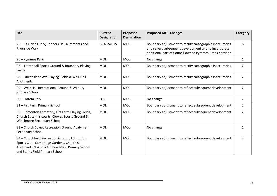| <b>Site</b>                                                                                                                                                                       | Current<br><b>Designation</b> | Proposed<br><b>Designation</b> | <b>Proposed MOL Changes</b>                                                                                                                                                 | Category       |
|-----------------------------------------------------------------------------------------------------------------------------------------------------------------------------------|-------------------------------|--------------------------------|-----------------------------------------------------------------------------------------------------------------------------------------------------------------------------|----------------|
| 25 - St Davids Park, Tanners Hall allotments and<br>Riverside Walk                                                                                                                | GCAOS/LOS                     | <b>MOL</b>                     | Boundary adjustment to rectify cartographic inaccuracies<br>and reflect subsequent development and to incorporate<br>additional part of Council-owned Pymmes Brook corridor | 6              |
| 26 - Pymmes Park                                                                                                                                                                  | <b>MOL</b>                    | <b>MOL</b>                     | No change                                                                                                                                                                   | 1              |
| 27 - Tottenhall Sports Ground & Boundary Playing<br>Fields                                                                                                                        | <b>MOL</b>                    | <b>MOL</b>                     | Boundary adjustment to rectify cartographic inaccuracies                                                                                                                    | 2              |
| 28 - Queensland Ave Playing Fields & Weir Hall<br>Allotments                                                                                                                      | <b>MOL</b>                    | <b>MOL</b>                     | Boundary adjustment to rectify cartographic inaccuracies                                                                                                                    | $\overline{2}$ |
| 29 - Weir Hall Recreational Ground & Wilbury<br><b>Primary School</b>                                                                                                             | <b>MOL</b>                    | <b>MOL</b>                     | Boundary adjustment to reflect subsequent development                                                                                                                       | $\overline{2}$ |
| 30 - Tatem Park                                                                                                                                                                   | <b>LOS</b>                    | <b>MOL</b>                     | No change                                                                                                                                                                   | 7              |
| 31 - Firs Farm Primary School                                                                                                                                                     | MOL                           | <b>MOL</b>                     | Boundary adjustment to reflect subsequent development                                                                                                                       | 2              |
| 32 - Edmonton Cemetery, Firs Farm Playing Fields,<br>Church St tennis courts, Clowes Sports Ground &<br><b>Winchmore Secondary School</b>                                         | <b>MOL</b>                    | <b>MOL</b>                     | Boundary adjustment to reflect subsequent development                                                                                                                       | 2              |
| 33 - Church Street Recreation Ground / Latymer<br>Secondary School                                                                                                                | <b>MOL</b>                    | MOL                            | No change                                                                                                                                                                   | $\mathbf{1}$   |
| 34 - Churchfield Recreation Ground, Edmonton<br>Sports Club, Cambridge Gardens, Church St<br>Allotments Nos. 2 & 4, Churchfield Primary School<br>and Starks Field Primary School | <b>MOL</b>                    | <b>MOL</b>                     | Boundary adjustment to reflect subsequent development                                                                                                                       | 2              |